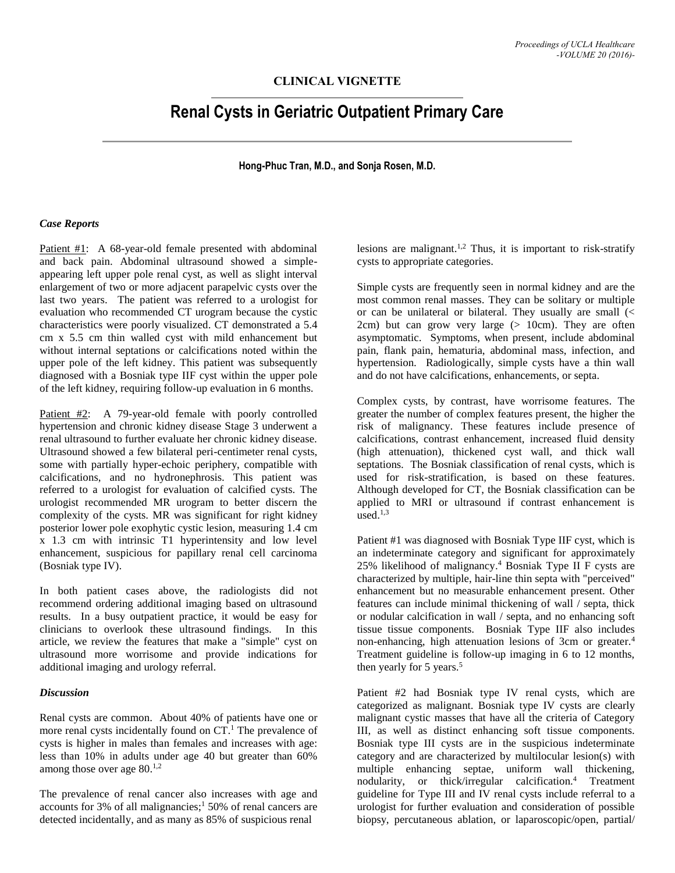## **CLINICAL VIGNETTE**

# **Renal Cysts in Geriatric Outpatient Primary Care**

**Hong-Phuc Tran, M.D., and Sonja Rosen, M.D.**

#### *Case Reports*

Patient #1: A 68-year-old female presented with abdominal and back pain. Abdominal ultrasound showed a simpleappearing left upper pole renal cyst, as well as slight interval enlargement of two or more adjacent parapelvic cysts over the last two years. The patient was referred to a urologist for evaluation who recommended CT urogram because the cystic characteristics were poorly visualized. CT demonstrated a 5.4 cm x 5.5 cm thin walled cyst with mild enhancement but without internal septations or calcifications noted within the upper pole of the left kidney. This patient was subsequently diagnosed with a Bosniak type IIF cyst within the upper pole of the left kidney, requiring follow-up evaluation in 6 months.

Patient #2: A 79-year-old female with poorly controlled hypertension and chronic kidney disease Stage 3 underwent a renal ultrasound to further evaluate her chronic kidney disease. Ultrasound showed a few bilateral peri-centimeter renal cysts, some with partially hyper-echoic periphery, compatible with calcifications, and no hydronephrosis. This patient was referred to a urologist for evaluation of calcified cysts. The urologist recommended MR urogram to better discern the complexity of the cysts. MR was significant for right kidney posterior lower pole exophytic cystic lesion, measuring 1.4 cm x 1.3 cm with intrinsic T1 hyperintensity and low level enhancement, suspicious for papillary renal cell carcinoma (Bosniak type IV).

In both patient cases above, the radiologists did not recommend ordering additional imaging based on ultrasound results. In a busy outpatient practice, it would be easy for clinicians to overlook these ultrasound findings. In this article, we review the features that make a "simple" cyst on ultrasound more worrisome and provide indications for additional imaging and urology referral.

### *Discussion*

Renal cysts are common. About 40% of patients have one or more renal cysts incidentally found on CT. <sup>1</sup> The prevalence of cysts is higher in males than females and increases with age: less than 10% in adults under age 40 but greater than 60% among those over age 80.<sup>1,2</sup>

The prevalence of renal cancer also increases with age and accounts for 3% of all malignancies; <sup>1</sup> 50% of renal cancers are detected incidentally, and as many as 85% of suspicious renal

lesions are malignant. 1,2 Thus, it is important to risk-stratify cysts to appropriate categories.

Simple cysts are frequently seen in normal kidney and are the most common renal masses. They can be solitary or multiple or can be unilateral or bilateral. They usually are small (< 2cm) but can grow very large  $(> 10cm)$ . They are often asymptomatic. Symptoms, when present, include abdominal pain, flank pain, hematuria, abdominal mass, infection, and hypertension. Radiologically, simple cysts have a thin wall and do not have calcifications, enhancements, or septa.

Complex cysts, by contrast, have worrisome features. The greater the number of complex features present, the higher the risk of malignancy. These features include presence of calcifications, contrast enhancement, increased fluid density (high attenuation), thickened cyst wall, and thick wall septations. The Bosniak classification of renal cysts, which is used for risk-stratification, is based on these features. Although developed for CT, the Bosniak classification can be applied to MRI or ultrasound if contrast enhancement is used. 1,3

Patient #1 was diagnosed with Bosniak Type IIF cyst, which is an indeterminate category and significant for approximately 25% likelihood of malignancy. <sup>4</sup> Bosniak Type II F cysts are characterized by multiple, hair-line thin septa with "perceived" enhancement but no measurable enhancement present. Other features can include minimal thickening of wall / septa, thick or nodular calcification in wall / septa, and no enhancing soft tissue tissue components. Bosniak Type IIF also includes non-enhancing, high attenuation lesions of 3cm or greater.<sup>4</sup> Treatment guideline is follow-up imaging in 6 to 12 months, then yearly for 5 years.<sup>5</sup>

Patient #2 had Bosniak type IV renal cysts, which are categorized as malignant. Bosniak type IV cysts are clearly malignant cystic masses that have all the criteria of Category III, as well as distinct enhancing soft tissue components. Bosniak type III cysts are in the suspicious indeterminate category and are characterized by multilocular lesion(s) with multiple enhancing septae, uniform wall thickening, nodularity, or thick/irregular calcification. <sup>4</sup> Treatment guideline for Type III and IV renal cysts include referral to a urologist for further evaluation and consideration of possible biopsy, percutaneous ablation, or laparoscopic/open, partial/